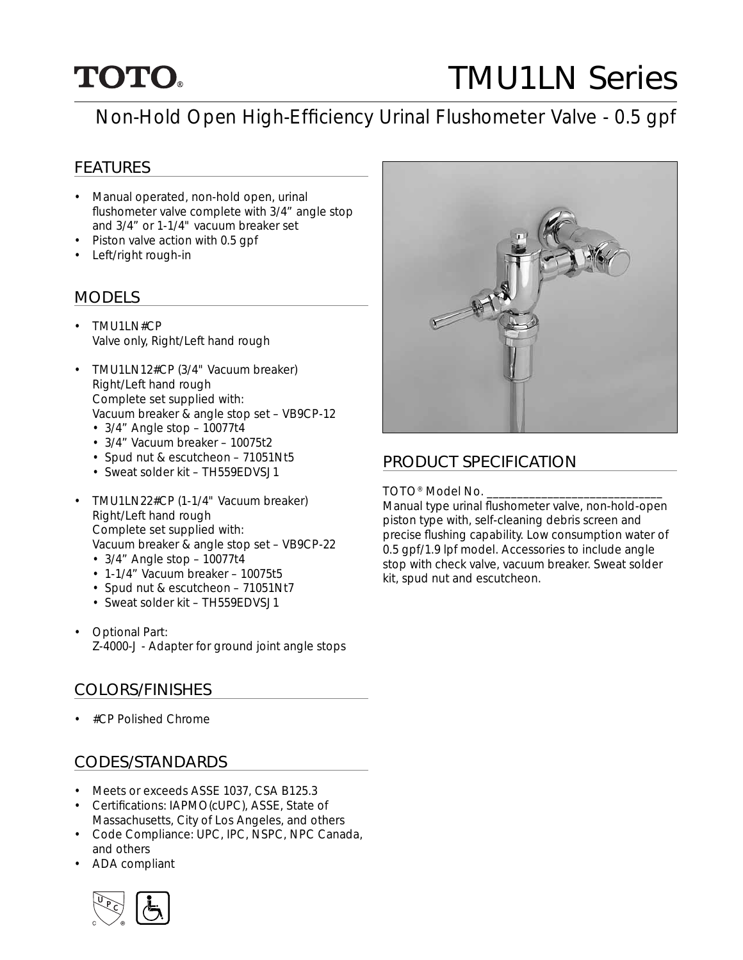## **TOTO.**

# TMU1LN Series

## Non-Hold Open High-Efficiency Urinal Flushometer Valve - 0.5 gpf

#### FEATURES

- Manual operated, non-hold open, urinal flushometer valve complete with 3/4" angle stop and 3/4" or 1-1/4" vacuum breaker set
- Piston valve action with 0.5 gpf
- Left/right rough-in

#### MODELS

- TMU1LN#CP Valve only, Right/Left hand rough
- TMU1LN12#CP (3/4" Vacuum breaker) Right/Left hand rough Complete set supplied with: Vacuum breaker & angle stop set – VB9CP-12
	- $3/4$ " Angle stop  $10077t4$
	- 3/4" Vacuum breaker 10075t2
	- Spud nut & escutcheon 71051Nt5
	- Sweat solder kit TH559EDVSJ1
- TMU1LN22#CP (1-1/4" Vacuum breaker) Right/Left hand rough Complete set supplied with: Vacuum breaker & angle stop set – VB9CP-22 • 3/4" Angle stop – 10077t4
	-
	- 1-1/4" Vacuum breaker 10075t5
	- Spud nut & escutcheon 71051Nt7
	- Sweat solder kit TH559EDVSJ1
- Optional Part: Z-4000-J - Adapter for ground joint angle stops

#### COLORS/FINISHES

• #CP Polished Chrome

#### CODES/STANDARDS

- Meets or exceeds ASSE 1037, CSA B125.3
- Certifications: IAPMO(cUPC), ASSE, State of Massachusetts, City of Los Angeles, and others
- Code Compliance: UPC, IPC, NSPC, NPC Canada, and others
- ADA compliant





#### PRODUCT SPECIFICATION

TOTO<sup>®</sup> Model No.

Manual type urinal flushometer valve, non-hold-open piston type with, self-cleaning debris screen and precise flushing capability. Low consumption water of 0.5 gpf/1.9 lpf model. Accessories to include angle stop with check valve, vacuum breaker. Sweat solder kit, spud nut and escutcheon.